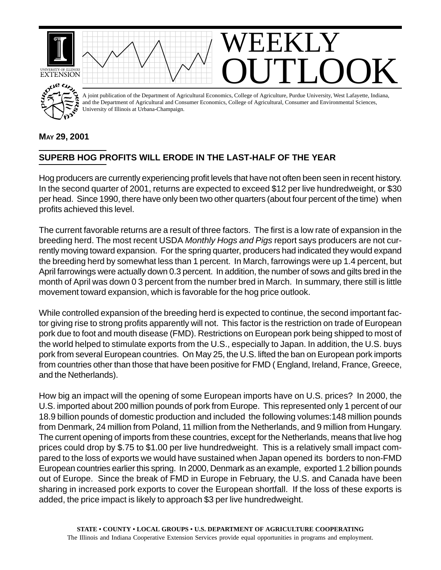

## **MAY 29, 2001**

## **SUPERB HOG PROFITS WILL ERODE IN THE LAST-HALF OF THE YEAR**

Hog producers are currently experiencing profit levels that have not often been seen in recent history. In the second quarter of 2001, returns are expected to exceed \$12 per live hundredweight, or \$30 per head. Since 1990, there have only been two other quarters (about four percent of the time) when profits achieved this level.

The current favorable returns are a result of three factors. The first is a low rate of expansion in the breeding herd. The most recent USDA *Monthly Hogs and Pigs* report says producers are not currently moving toward expansion. For the spring quarter, producers had indicated they would expand the breeding herd by somewhat less than 1 percent. In March, farrowings were up 1.4 percent, but April farrowings were actually down 0.3 percent. In addition, the number of sows and gilts bred in the month of April was down 0 3 percent from the number bred in March. In summary, there still is little movement toward expansion, which is favorable for the hog price outlook.

While controlled expansion of the breeding herd is expected to continue, the second important factor giving rise to strong profits apparently will not. This factor is the restriction on trade of European pork due to foot and mouth disease (FMD). Restrictions on European pork being shipped to most of the world helped to stimulate exports from the U.S., especially to Japan. In addition, the U.S. buys pork from several European countries. On May 25, the U.S. lifted the ban on European pork imports from countries other than those that have been positive for FMD ( England, Ireland, France, Greece, and the Netherlands).

How big an impact will the opening of some European imports have on U.S. prices? In 2000, the U.S. imported about 200 million pounds of pork from Europe. This represented only 1 percent of our 18.9 billion pounds of domestic production and included the following volumes:148 million pounds from Denmark, 24 million from Poland, 11 million from the Netherlands, and 9 million from Hungary. The current opening of imports from these countries, except for the Netherlands, means that live hog prices could drop by \$.75 to \$1.00 per live hundredweight. This is a relatively small impact compared to the loss of exports we would have sustained when Japan opened its borders to non-FMD European countries earlier this spring. In 2000, Denmark as an example, exported 1.2 billion pounds out of Europe. Since the break of FMD in Europe in February, the U.S. and Canada have been sharing in increased pork exports to cover the European shortfall. If the loss of these exports is added, the price impact is likely to approach \$3 per live hundredweight.